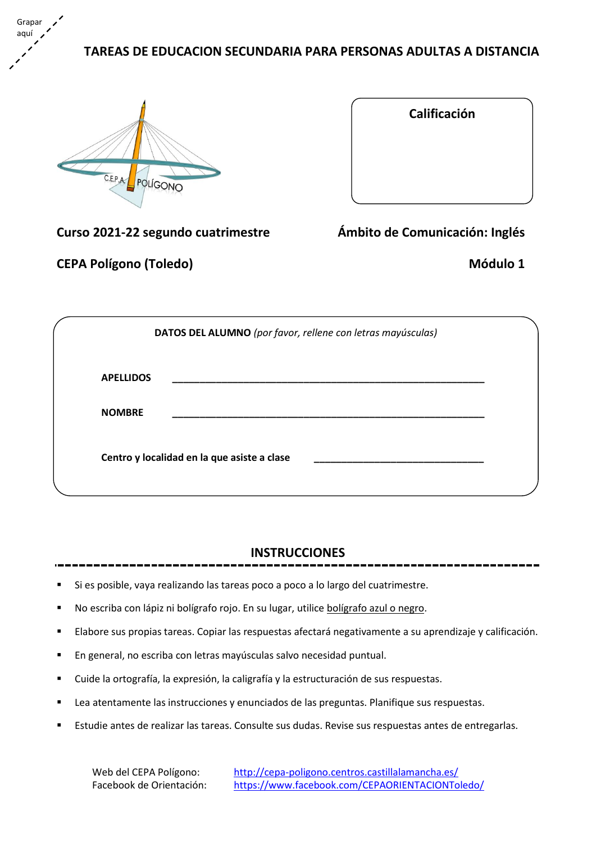**TAREAS DE EDUCACION SECUNDARIA PARA PERSONAS ADULTAS A DISTANCIA**



Grapar aquí

| Calificación |  |
|--------------|--|
|              |  |
|              |  |
|              |  |
|              |  |

**Curso 2021-22 segundo cuatrimestre Ámbito de Comunicación: Inglés**

**CEPA Polígono (Toledo) Módulo 1**

|                  | DATOS DEL ALUMNO (por favor, rellene con letras mayúsculas) |
|------------------|-------------------------------------------------------------|
| <b>APELLIDOS</b> |                                                             |
| <b>NOMBRE</b>    |                                                             |
|                  | Centro y localidad en la que asiste a clase                 |

### **INSTRUCCIONES**

- Si es posible, vaya realizando las tareas poco a poco a lo largo del cuatrimestre.
- No escriba con lápiz ni bolígrafo rojo. En su lugar, utilice bolígrafo azul o negro.
- Elabore sus propias tareas. Copiar las respuestas afectará negativamente a su aprendizaje y calificación.
- En general, no escriba con letras mayúsculas salvo necesidad puntual.
- Cuide la ortografía, la expresión, la caligrafía y la estructuración de sus respuestas.
- Lea atentamente las instrucciones y enunciados de las preguntas. Planifique sus respuestas.
- Estudie antes de realizar las tareas. Consulte sus dudas. Revise sus respuestas antes de entregarlas.

Web del CEPA Polígono: <http://cepa-poligono.centros.castillalamancha.es/> Facebook de Orientación: <https://www.facebook.com/CEPAORIENTACIONToledo/>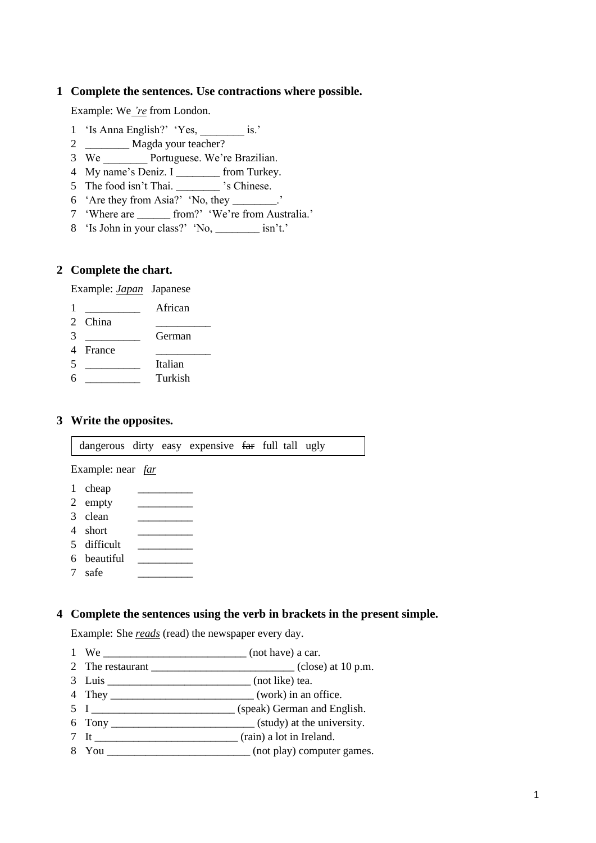#### **Complete the sentences. Use contractions where possible.**

Example: We *'re* from London.

- 'Is Anna English?' 'Yes, \_\_\_\_\_\_\_\_ is.'
- \_\_\_\_\_\_\_\_ Magda your teacher?
- 3 We Portuguese. We're Brazilian.
- My name's Deniz. I \_\_\_\_\_\_\_\_ from Turkey.
- The food isn't Thai. \_\_\_\_\_\_\_\_ 's Chinese.
- 'Are they from Asia?' 'No, they \_\_\_\_\_\_\_\_.'
- 'Where are \_\_\_\_\_\_ from?' 'We're from Australia.'
- 'Is John in your class?' 'No, \_\_\_\_\_\_\_\_ isn't.'

#### **Complete the chart.**

Example: *Japan* Japanese

- **African**
- 2 China 3 German
- 4 France
- \_\_\_\_\_\_\_\_\_\_ Italian
- \_\_\_\_\_\_\_\_\_\_ Turkish

#### **Write the opposites.**

dangerous dirty easy expensive far full tall ugly

Example: near *far*

- 1 cheap
- 2 empty
- $3 \text{ clean} \quad \_\_$
- short \_\_\_\_\_\_\_\_\_\_
- difficult
- beautiful safe \_\_\_\_\_\_\_\_\_\_

# **Complete the sentences using the verb in brackets in the present simple.**

Example: She *reads* (read) the newspaper every day.

- We \_\_\_\_\_\_\_\_\_\_\_\_\_\_\_\_\_\_\_\_\_\_\_\_\_\_ (not have) a car.
- 2 The restaurant  $\frac{1}{2}$  Close) at 10 p.m.
- Luis \_\_\_\_\_\_\_\_\_\_\_\_\_\_\_\_\_\_\_\_\_\_\_\_\_\_ (not like) tea.
- They \_\_\_\_\_\_\_\_\_\_\_\_\_\_\_\_\_\_\_\_\_\_\_\_\_\_ (work) in an office.
- I \_\_\_\_\_\_\_\_\_\_\_\_\_\_\_\_\_\_\_\_\_\_\_\_\_\_ (speak) German and English.
- Tony \_\_\_\_\_\_\_\_\_\_\_\_\_\_\_\_\_\_\_\_\_\_\_\_\_\_ (study) at the university.
- It \_\_\_\_\_\_\_\_\_\_\_\_\_\_\_\_\_\_\_\_\_\_\_\_\_\_ (rain) a lot in Ireland.
- You \_\_\_\_\_\_\_\_\_\_\_\_\_\_\_\_\_\_\_\_\_\_\_\_\_\_ (not play) computer games.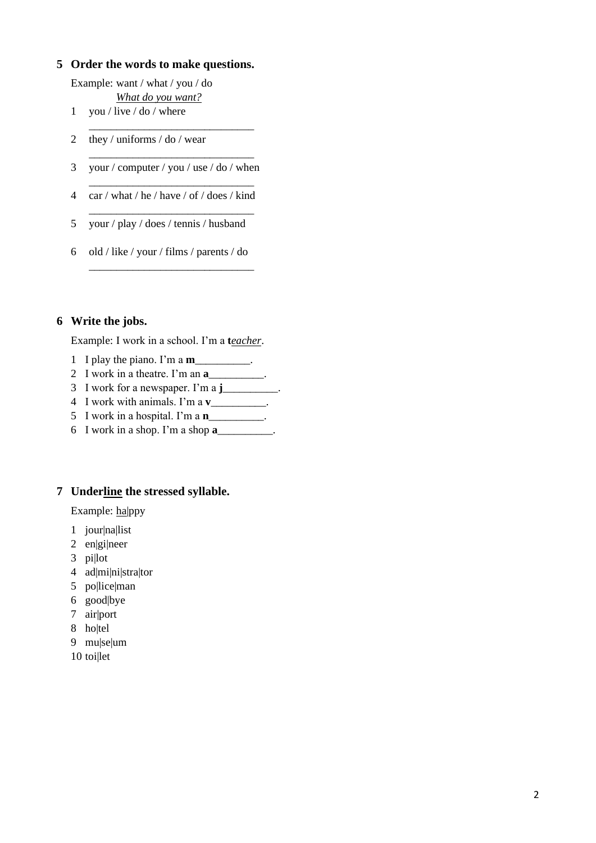#### **Order the words to make questions.**

Example: want / what / you / do *What do you want?*

- you / live / do / where
- they / uniforms / do / wear
- \_\_\_\_\_\_\_\_\_\_\_\_\_\_\_\_\_\_\_\_\_\_\_\_\_\_\_\_\_\_ your / computer / you / use / do / when

\_\_\_\_\_\_\_\_\_\_\_\_\_\_\_\_\_\_\_\_\_\_\_\_\_\_\_\_\_\_

\_\_\_\_\_\_\_\_\_\_\_\_\_\_\_\_\_\_\_\_\_\_\_\_\_\_\_\_\_\_

\_\_\_\_\_\_\_\_\_\_\_\_\_\_\_\_\_\_\_\_\_\_\_\_\_\_\_\_\_\_

\_\_\_\_\_\_\_\_\_\_\_\_\_\_\_\_\_\_\_\_\_\_\_\_\_\_\_\_\_\_

- car / what / he / have / of / does / kind
- your / play / does / tennis / husband
- old / like / your / films / parents / do

#### **Write the jobs.**

Example: I work in a school. I'm a **t***eacher*.

- I play the piano. I'm a **m**\_\_\_\_\_\_\_\_\_\_.
- I work in a theatre. I'm an **a**\_\_\_\_\_\_\_\_\_\_.
- I work for a newspaper. I'm a **j**\_\_\_\_\_\_\_\_\_\_.
- I work with animals. I'm a **v**\_\_\_\_\_\_\_\_\_\_.
- I work in a hospital. I'm a **n**\_\_\_\_\_\_\_\_\_\_.
- I work in a shop. I'm a shop **a**\_\_\_\_\_\_\_\_\_\_.

#### **Underline the stressed syllable.**

Example: ha|ppy

- jour|na|list
- en|gi|neer
- pi|lot
- ad|mi|ni|stra|tor
- po|lice|man
- good|bye
- air|port
- ho|tel
- mu|se|um
- toi|let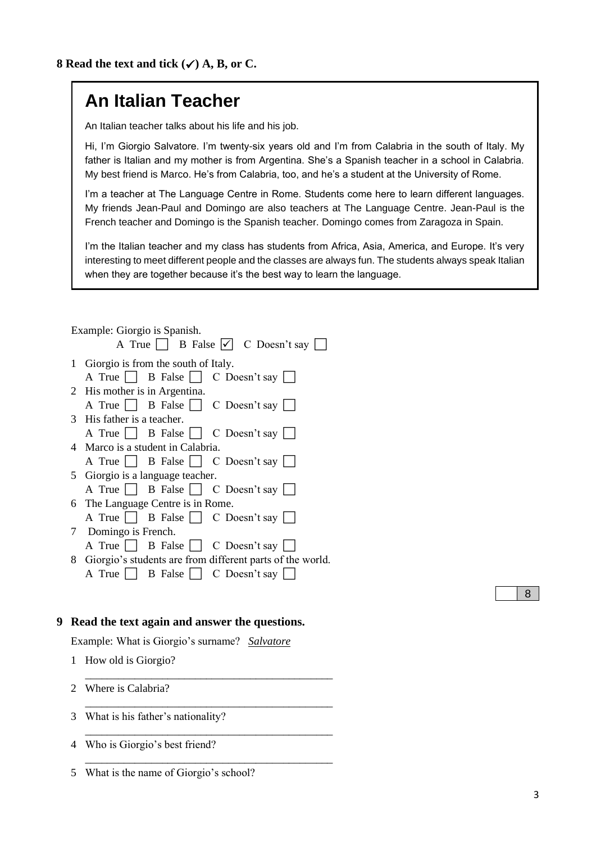# **An Italian Teacher**

An Italian teacher talks about his life and his job.

Hi, I'm Giorgio Salvatore. I'm twenty-six years old and I'm from Calabria in the south of Italy. My father is Italian and my mother is from Argentina. She's a Spanish teacher in a school in Calabria. My best friend is Marco. He's from Calabria, too, and he's a student at the University of Rome.

I'm a teacher at The Language Centre in Rome. Students come here to learn different languages. My friends Jean-Paul and Domingo are also teachers at The Language Centre. Jean-Paul is the French teacher and Domingo is the Spanish teacher. Domingo comes from Zaragoza in Spain.

I'm the Italian teacher and my class has students from Africa, Asia, America, and Europe. It's very interesting to meet different people and the classes are always fun. The students always speak Italian when they are together because it's the best way to learn the language.

|   |              | Example: Giorgio is Spanish.                                |
|---|--------------|-------------------------------------------------------------|
|   |              | A True $\Box$ B False $\bigtriangledown$ C Doesn't say      |
|   |              | 1 Giorgio is from the south of Italy.                       |
|   |              | A True B False C Doesn't say                                |
|   |              | 2 His mother is in Argentina.                               |
|   |              | A True $\Box$ B False $\Box$ C Doesn't say $\Box$           |
|   |              | 3 His father is a teacher.                                  |
|   |              | A True     B False     C Doesn't say                        |
|   |              | 4 Marco is a student in Calabria.                           |
|   |              | A True     B False     C Doesn't say                        |
|   |              | 5 Giorgio is a language teacher.                            |
|   |              | A True B False C Doesn't say                                |
|   |              | 6 The Language Centre is in Rome.                           |
|   |              | A True B False   C Doesn't say                              |
|   |              | 7 Domingo is French.                                        |
|   |              | A True $\Box$ B False $\Box$ C Doesn't say                  |
|   |              | 8 Giorgio's students are from different parts of the world. |
|   |              | A True $\Box$ B False $\Box$ C Doesn't say $\Box$           |
|   |              |                                                             |
|   |              |                                                             |
| 9 |              | Read the text again and answer the questions.               |
|   |              | Example: What is Giorgio's surname? Salvatore               |
|   | $\mathbf{1}$ | How old is Giorgio?                                         |
|   |              |                                                             |
|   |              |                                                             |

\_\_\_\_\_\_\_\_\_\_\_\_\_\_\_\_\_\_\_\_\_\_\_\_\_\_\_\_\_\_\_\_\_\_\_\_\_\_\_\_\_\_\_\_\_

\_\_\_\_\_\_\_\_\_\_\_\_\_\_\_\_\_\_\_\_\_\_\_\_\_\_\_\_\_\_\_\_\_\_\_\_\_\_\_\_\_\_\_\_\_

\_\_\_\_\_\_\_\_\_\_\_\_\_\_\_\_\_\_\_\_\_\_\_\_\_\_\_\_\_\_\_\_\_\_\_\_\_\_\_\_\_\_\_\_\_

2 Where is Calabria?

3 What is his father's nationality?

4 Who is Giorgio's best friend?

5 What is the name of Giorgio's school?

8